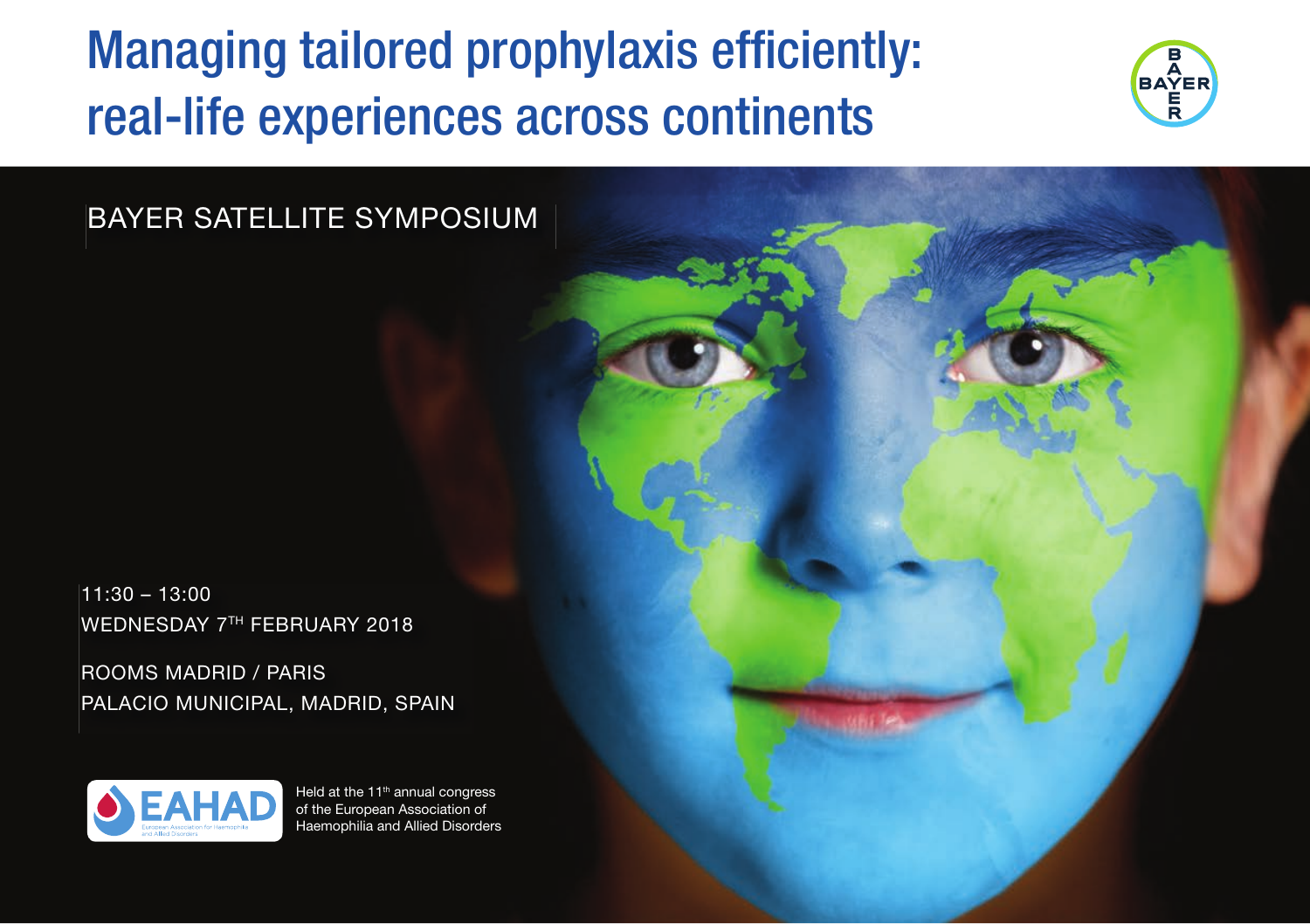## Managing tailored prophylaxis efficiently: real-life experiences across continents



BAYER SATELLITE SYMPOSIUM

11:30 – 13:00 WEDNESDAY 7TH FEBRUARY 2018

ROOMS MADRID / PARIS PALACIO MUNICIPAL, MADRID, SPAIN



Held at the 11<sup>th</sup> annual congress of the European Association of Haemophilia and Allied Disorders